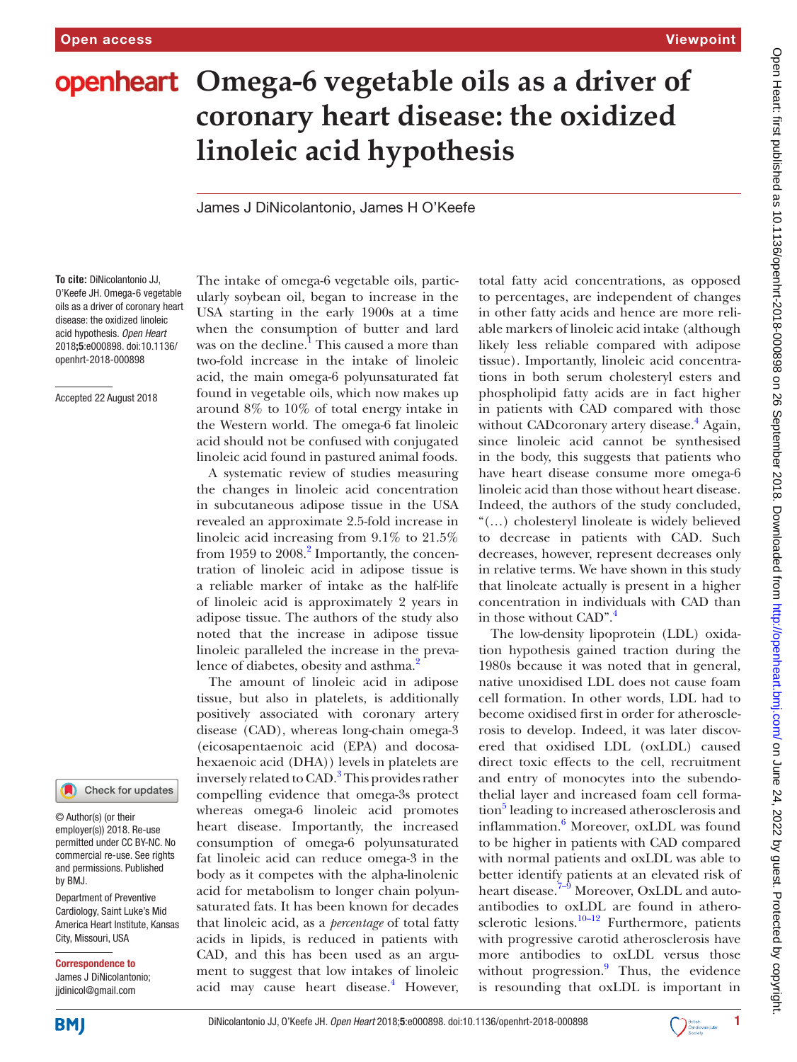# **openheart** Omega-6 vegetable oils as a driver of **coronary heart disease: the oxidized linoleic acid hypothesis**

James J DiNicolantonio, James H O'Keefe

**To cite:** DiNicolantonio JJ, O'Keefe JH. Omega-6 vegetable oils as a driver of coronary heart disease: the oxidized linoleic acid hypothesis*. Open Heart* 2018;5:e000898. doi:10.1136/ openhrt-2018-000898

Accepted 22 August 2018

#### Check for updates

© Author(s) (or their employer(s)) 2018. Re-use permitted under CC BY-NC. No commercial re-use. See rights and permissions. Published by BMJ.

Department of Preventive Cardiology, Saint Luke's Mid America Heart Institute, Kansas City, Missouri, USA

Correspondence to

James J DiNicolantonio; jjdinicol@gmail.com

The intake of omega-6 vegetable oils, particularly soybean oil, began to increase in the USA starting in the early 1900s at a time when the consumption of butter and lard was on the decline.<sup>[1](#page-4-0)</sup> This caused a more than two-fold increase in the intake of linoleic acid, the main omega-6 polyunsaturated fat found in vegetable oils, which now makes up around 8% to 10% of total energy intake in the Western world. The omega-6 fat linoleic acid should not be confused with conjugated linoleic acid found in pastured animal foods.

A systematic review of studies measuring the changes in linoleic acid concentration in subcutaneous adipose tissue in the USA revealed an approximate 2.5-fold increase in linoleic acid increasing from 9.1% to 21.5% from 1959 to 2008.<sup>2</sup> Importantly, the concentration of linoleic acid in adipose tissue is a reliable marker of intake as the half-life of linoleic acid is approximately 2 years in adipose tissue. The authors of the study also noted that the increase in adipose tissue linoleic paralleled the increase in the preva-lence of diabetes, obesity and asthma.<sup>[2](#page-4-1)</sup>

The amount of linoleic acid in adipose tissue, but also in platelets, is additionally positively associated with coronary artery disease (CAD), whereas long-chain omega-3 (eicosapentaenoic acid (EPA) and docosahexaenoic acid (DHA)) levels in platelets are inversely related to CAD.<sup>[3](#page-4-2)</sup> This provides rather compelling evidence that omega-3s protect whereas omega-6 linoleic acid promotes heart disease. Importantly, the increased consumption of omega-6 polyunsaturated fat linoleic acid can reduce omega-3 in the body as it competes with the alpha-linolenic acid for metabolism to longer chain polyunsaturated fats. It has been known for decades that linoleic acid, as a *percentage* of total fatty acids in lipids, is reduced in patients with CAD, and this has been used as an argument to suggest that low intakes of linoleic acid may cause heart disease.<sup>[4](#page-4-3)</sup> However, total fatty acid concentrations, as opposed to percentages, are independent of changes in other fatty acids and hence are more reliable markers of linoleic acid intake (although likely less reliable compared with adipose tissue). Importantly, linoleic acid concentrations in both serum cholesteryl esters and phospholipid fatty acids are in fact higher in patients with CAD compared with those without CADcoronary artery disease.<sup>4</sup> Again, since linoleic acid cannot be synthesised in the body, this suggests that patients who have heart disease consume more omega-6 linoleic acid than those without heart disease. Indeed, the authors of the study concluded, "(…) cholesteryl linoleate is widely believed to decrease in patients with CAD. Such decreases, however, represent decreases only in relative terms. We have shown in this study that linoleate actually is present in a higher concentration in individuals with CAD than in those without CAD".<sup>4</sup>

The low-density lipoprotein (LDL) oxidation hypothesis gained traction during the 1980s because it was noted that in general, native unoxidised LDL does not cause foam cell formation. In other words, LDL had to become oxidised first in order for atherosclerosis to develop. Indeed, it was later discovered that oxidised LDL (oxLDL) caused direct toxic effects to the cell, recruitment and entry of monocytes into the subendothelial layer and increased foam cell formation<sup>5</sup> leading to increased atherosclerosis and inflammation.<sup>[6](#page-4-5)</sup> Moreover, oxLDL was found to be higher in patients with CAD compared with normal patients and oxLDL was able to better identify patients at an elevated risk of heart disease.<sup>7–9</sup> Moreover, OxLDL and autoantibodies to oxLDL are found in atherosclerotic lesions.<sup>10–12</sup> Furthermore, patients with progressive carotid atherosclerosis have more antibodies to oxLDL versus those without progression.<sup>[9](#page-4-8)</sup> Thus, the evidence is resounding that oxLDL is important in

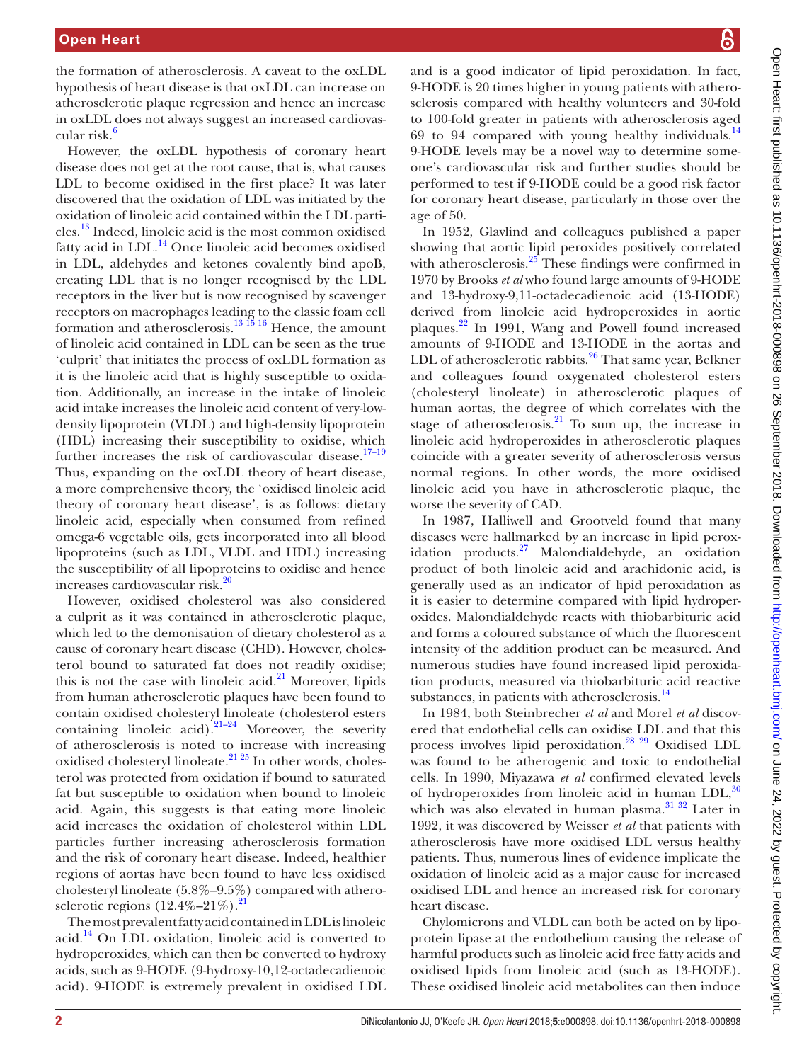the formation of atherosclerosis. A caveat to the oxLDL hypothesis of heart disease is that oxLDL can increase on atherosclerotic plaque regression and hence an increase in oxLDL does not always suggest an increased cardiovascular risk.<sup>6</sup>

However, the oxLDL hypothesis of coronary heart disease does not get at the root cause, that is, what causes LDL to become oxidised in the first place? It was later discovered that the oxidation of LDL was initiated by the oxidation of linoleic acid contained within the LDL particles[.13](#page-4-9) Indeed, linoleic acid is the most common oxidised fatty acid in LDL.<sup>14</sup> Once linoleic acid becomes oxidised in LDL, aldehydes and ketones covalently bind apoB, creating LDL that is no longer recognised by the LDL receptors in the liver but is now recognised by scavenger receptors on macrophages leading to the classic foam cell formation and atherosclerosis.<sup>13 15 16</sup> Hence, the amount of linoleic acid contained in LDL can be seen as the true 'culprit' that initiates the process of oxLDL formation as it is the linoleic acid that is highly susceptible to oxidation. Additionally, an increase in the intake of linoleic acid intake increases the linoleic acid content of very-lowdensity lipoprotein (VLDL) and high-density lipoprotein (HDL) increasing their susceptibility to oxidise, which further increases the risk of cardiovascular disease. $17-19$ Thus, expanding on the oxLDL theory of heart disease, a more comprehensive theory, the 'oxidised linoleic acid theory of coronary heart disease', is as follows: dietary linoleic acid, especially when consumed from refined omega-6 vegetable oils, gets incorporated into all blood lipoproteins (such as LDL, VLDL and HDL) increasing the susceptibility of all lipoproteins to oxidise and hence increases cardiovascular risk.<sup>20</sup>

However, oxidised cholesterol was also considered a culprit as it was contained in atherosclerotic plaque, which led to the demonisation of dietary cholesterol as a cause of coronary heart disease (CHD). However, cholesterol bound to saturated fat does not readily oxidise; this is not the case with linoleic acid. $21$  Moreover, lipids from human atherosclerotic plaques have been found to contain oxidised cholesteryl linoleate (cholesterol esters containing linoleic acid). $21-24$  Moreover, the severity of atherosclerosis is noted to increase with increasing oxidised cholesteryl linoleate.<sup>[21 25](#page-4-13)</sup> In other words, cholesterol was protected from oxidation if bound to saturated fat but susceptible to oxidation when bound to linoleic acid. Again, this suggests is that eating more linoleic acid increases the oxidation of cholesterol within LDL particles further increasing atherosclerosis formation and the risk of coronary heart disease. Indeed, healthier regions of aortas have been found to have less oxidised cholesteryl linoleate (5.8%–9.5%) compared with atherosclerotic regions  $(12.4\% - 21\%)$ .<sup>21</sup>

The most prevalent fatty acid contained in LDL is linoleic acid[.14](#page-4-10) On LDL oxidation, linoleic acid is converted to hydroperoxides, which can then be converted to hydroxy acids, such as 9-HODE (9-hydroxy-10,12-octadecadienoic acid). 9-HODE is extremely prevalent in oxidised LDL

Open Heart first published as 10.1136/openhrt-2018-000898 on 26 September 2018. Downloaded from http://openheart.bmj.com/ on June 24, 2022 by guest. Protected by copyright. Open Heart: first published as 10.1136/openhrt-2018-001898 on 26 September 2018. Downloaded from <http://openheart.bmj.com/> on June 24, 2022 by guest. Protected by copyright.

and is a good indicator of lipid peroxidation. In fact, 9-HODE is 20 times higher in young patients with atherosclerosis compared with healthy volunteers and 30-fold to 100-fold greater in patients with atherosclerosis aged 69 to 94 compared with young healthy individuals. $^{14}$  $^{14}$  $^{14}$ 9-HODE levels may be a novel way to determine someone's cardiovascular risk and further studies should be performed to test if 9-HODE could be a good risk factor for coronary heart disease, particularly in those over the age of 50.

In 1952, Glavlind and colleagues published a paper showing that aortic lipid peroxides positively correlated with atherosclerosis.<sup>25</sup> These findings were confirmed in 1970 by Brooks *et al* who found large amounts of 9-HODE and 13-hydroxy-9,11-octadecadienoic acid (13-HODE) derived from linoleic acid hydroperoxides in aortic plaques.[22](#page-4-15) In 1991, Wang and Powell found increased amounts of 9-HODE and 13-HODE in the aortas and LDL of atherosclerotic rabbits. $26$  That same year, Belkner and colleagues found oxygenated cholesterol esters (cholesteryl linoleate) in atherosclerotic plaques of human aortas, the degree of which correlates with the stage of atherosclerosis. $21$  To sum up, the increase in linoleic acid hydroperoxides in atherosclerotic plaques coincide with a greater severity of atherosclerosis versus normal regions. In other words, the more oxidised linoleic acid you have in atherosclerotic plaque, the worse the severity of CAD.

In 1987, Halliwell and Grootveld found that many diseases were hallmarked by an increase in lipid peroxidation products.[27](#page-4-17) Malondialdehyde, an oxidation product of both linoleic acid and arachidonic acid, is generally used as an indicator of lipid peroxidation as it is easier to determine compared with lipid hydroperoxides. Malondialdehyde reacts with thiobarbituric acid and forms a coloured substance of which the fluorescent intensity of the addition product can be measured. And numerous studies have found increased lipid peroxidation products, measured via thiobarbituric acid reactive substances, in patients with atherosclerosis.<sup>14</sup>

In 1984, both Steinbrecher *et al* and Morel *et al* discovered that endothelial cells can oxidise LDL and that this process involves lipid peroxidation.<sup>28</sup> <sup>29</sup> Oxidised LDL was found to be atherogenic and toxic to endothelial cells. In 1990, Miyazawa *et al* confirmed elevated levels of hydroperoxides from linoleic acid in human  $LDL<sup>30</sup>$  $LDL<sup>30</sup>$  $LDL<sup>30</sup>$ which was also elevated in human plasma.<sup>31</sup> 32 Later in 1992, it was discovered by Weisser *et al* that patients with atherosclerosis have more oxidised LDL versus healthy patients. Thus, numerous lines of evidence implicate the oxidation of linoleic acid as a major cause for increased oxidised LDL and hence an increased risk for coronary heart disease.

Chylomicrons and VLDL can both be acted on by lipoprotein lipase at the endothelium causing the release of harmful products such as linoleic acid free fatty acids and oxidised lipids from linoleic acid (such as 13-HODE). These oxidised linoleic acid metabolites can then induce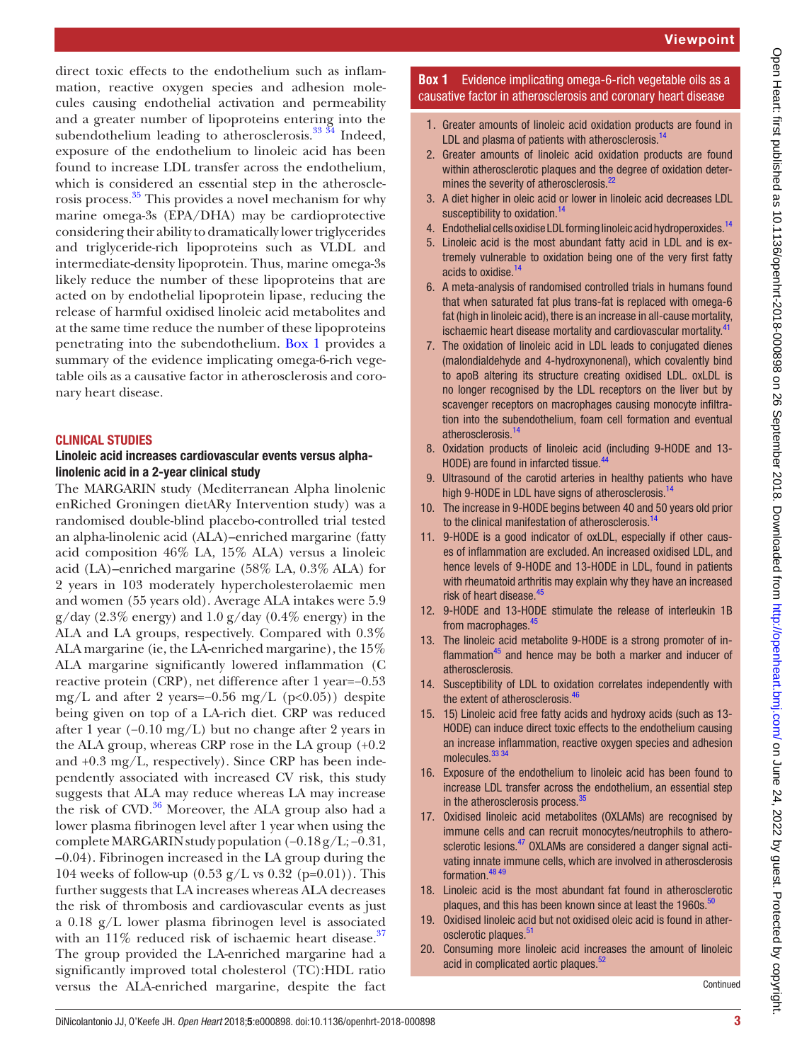direct toxic effects to the endothelium such as inflammation, reactive oxygen species and adhesion molecules causing endothelial activation and permeability and a greater number of lipoproteins entering into the subendothelium leading to atherosclerosis.<sup>[33 34](#page-5-4)</sup> Indeed, exposure of the endothelium to linoleic acid has been found to increase LDL transfer across the endothelium, which is considered an essential step in the atherosclerosis process.[35](#page-5-5) This provides a novel mechanism for why marine omega-3s (EPA/DHA) may be cardioprotective considering their ability to dramatically lower triglycerides and triglyceride-rich lipoproteins such as VLDL and intermediate-density lipoprotein. Thus, marine omega-3s likely reduce the number of these lipoproteins that are acted on by endothelial lipoprotein lipase, reducing the release of harmful oxidised linoleic acid metabolites and at the same time reduce the number of these lipoproteins penetrating into the subendothelium. [Box](#page-2-0) 1 provides a summary of the evidence implicating omega-6-rich vegetable oils as a causative factor in atherosclerosis and coronary heart disease.

#### Clinical studies

### Linoleic acid increases cardiovascular events versus alphalinolenic acid in a 2-year clinical study

The MARGARIN study (Mediterranean Alpha linolenic enRiched Groningen dietARy Intervention study) was a randomised double-blind placebo-controlled trial tested an alpha-linolenic acid (ALA)–enriched margarine (fatty acid composition 46% LA, 15% ALA) versus a linoleic acid (LA)–enriched margarine (58% LA, 0.3% ALA) for 2 years in 103 moderately hypercholesterolaemic men and women (55 years old). Average ALA intakes were 5.9  $g/day (2.3\% energy)$  and  $1.0 g/day (0.4\% energy)$  in the ALA and LA groups, respectively. Compared with 0.3% ALA margarine (ie, the LA-enriched margarine), the 15% ALA margarine significantly lowered inflammation (C reactive protein (CRP), net difference after 1 year=−0.53 mg/L and after 2 years=−0.56 mg/L ( $p<0.05$ )) despite being given on top of a LA-rich diet. CRP was reduced after 1 year (−0.10 mg/L) but no change after 2 years in the ALA group, whereas CRP rose in the LA group (+0.2 and +0.3 mg/L, respectively). Since CRP has been independently associated with increased CV risk, this study suggests that ALA may reduce whereas LA may increase the risk of CVD.<sup>[36](#page-5-11)</sup> Moreover, the ALA group also had a lower plasma fibrinogen level after 1 year when using the complete MARGARIN study population (−0.18 g/L; −0.31, –0.04). Fibrinogen increased in the LA group during the 104 weeks of follow-up  $(0.53 \text{ g/L} \text{ vs } 0.32 \text{ (p=0.01)})$ . This further suggests that LA increases whereas ALA decreases the risk of thrombosis and cardiovascular events as just a 0.18 g/L lower plasma fibrinogen level is associated with an  $11\%$  reduced risk of ischaemic heart disease.<sup>37</sup> The group provided the LA-enriched margarine had a significantly improved total cholesterol (TC):HDL ratio versus the ALA-enriched margarine, despite the fact

## **Box 1** Evidence implicating omega-6-rich vegetable oils as a causative factor in atherosclerosis and coronary heart disease

- <span id="page-2-0"></span>1. Greater amounts of linoleic acid oxidation products are found in LDL and plasma of patients with atherosclerosis. $14$
- 2. Greater amounts of linoleic acid oxidation products are found within atherosclerotic plaques and the degree of oxidation deter-mines the severity of atherosclerosis.<sup>[22](#page-4-15)</sup>
- 3. A diet higher in oleic acid or lower in linoleic acid decreases LDL susceptibility to oxidation.<sup>[14](#page-4-10)</sup>
- 4. Endothelial cells oxidise LDL forming linoleic acid hydroperoxides.<sup>[14](#page-4-10)</sup>
- 5. Linoleic acid is the most abundant fatty acid in LDL and is extremely vulnerable to oxidation being one of the very first fatty acids to oxidise.<sup>[14](#page-4-10)</sup>
- 6. A meta-analysis of randomised controlled trials in humans found that when saturated fat plus trans-fat is replaced with omega-6 fat (high in linoleic acid), there is an increase in all-cause mortality, ischaemic heart disease mortality and cardiovascular mortality.<sup>[41](#page-5-0)</sup>
- 7. The oxidation of linoleic acid in LDL leads to conjugated dienes (malondialdehyde and 4-hydroxynonenal), which covalently bind to apoB altering its structure creating oxidised LDL. oxLDL is no longer recognised by the LDL receptors on the liver but by scavenger receptors on macrophages causing monocyte infiltration into the subendothelium, foam cell formation and eventual atherosclerosis.<sup>[14](#page-4-10)</sup>
- 8. Oxidation products of linoleic acid (including 9-HODE and 13- HODE) are found in infarcted tissue.<sup>[44](#page-5-1)</sup>
- 9. Ultrasound of the carotid arteries in healthy patients who have high 9-HODE in LDL have signs of atherosclerosis.<sup>[14](#page-4-10)</sup>
- 10. The increase in 9-HODE begins between 40 and 50 years old prior to the clinical manifestation of atherosclerosis.<sup>[14](#page-4-10)</sup>
- 11. 9-HODE is a good indicator of oxLDL, especially if other causes of inflammation are excluded. An increased oxidised LDL, and hence levels of 9-HODE and 13-HODE in LDL, found in patients with rheumatoid arthritis may explain why they have an increased risk of heart disease.<sup>[45](#page-5-2)</sup>
- 12. 9-HODE and 13-HODE stimulate the release of interleukin 1B from macrophages.<sup>45</sup>
- 13. The linoleic acid metabolite 9-HODE is a strong promoter of inflammation $45$  and hence may be both a marker and inducer of atherosclerosis.
- 14. Susceptibility of LDL to oxidation correlates independently with the extent of atherosclerosis.<sup>[46](#page-5-3)</sup>
- 15. 15) Linoleic acid free fatty acids and hydroxy acids (such as 13- HODE) can induce direct toxic effects to the endothelium causing an increase inflammation, reactive oxygen species and adhesion molecules.<sup>33</sup> 34
- 16. Exposure of the endothelium to linoleic acid has been found to increase LDL transfer across the endothelium, an essential step in the atherosclerosis process.<sup>[35](#page-5-5)</sup>
- 17. Oxidised linoleic acid metabolites (OXLAMs) are recognised by immune cells and can recruit monocytes/neutrophils to atherosclerotic lesions.<sup>47</sup> OXLAMs are considered a danger signal activating innate immune cells, which are involved in atherosclerosis formation.<sup>48</sup><sup>49</sup>
- 18. Linoleic acid is the most abundant fat found in atherosclerotic plaques, and this has been known since at least the 1960s.<sup>[50](#page-5-8)</sup>
- 19. Oxidised linoleic acid but not oxidised oleic acid is found in ather-osclerotic plaques.<sup>[51](#page-5-9)</sup>
- 20. Consuming more linoleic acid increases the amount of linoleic acid in complicated aortic plaques.<sup>52</sup>

Continued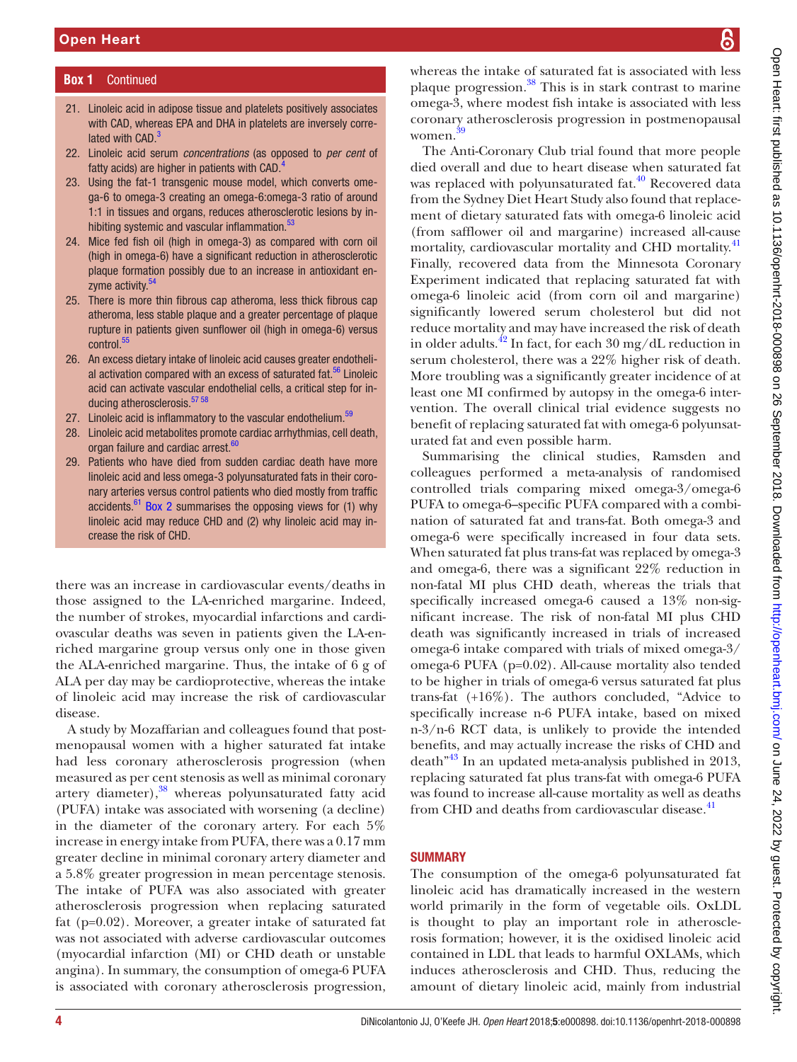### **Box 1** Continued

- 21. Linoleic acid in adipose tissue and platelets positively associates with CAD, whereas EPA and DHA in platelets are inversely correlated with CAD.<sup>3</sup>
- 22. Linoleic acid serum *concentrations* (as opposed to *per cent* of fatty acids) are higher in patients with CAD.<sup>4</sup>
- 23. Using the fat-1 transgenic mouse model, which converts omega-6 to omega-3 creating an omega-6:omega-3 ratio of around 1:1 in tissues and organs, reduces atherosclerotic lesions by in-hibiting systemic and vascular inflammation.<sup>[53](#page-5-13)</sup>
- 24. Mice fed fish oil (high in omega-3) as compared with corn oil (high in omega-6) have a significant reduction in atherosclerotic plaque formation possibly due to an increase in antioxidant enzyme activity.<sup>54</sup>
- 25. There is more thin fibrous cap atheroma, less thick fibrous cap atheroma, less stable plaque and a greater percentage of plaque rupture in patients given sunflower oil (high in omega-6) versus control.<sup>55</sup>
- 26. An excess dietary intake of linoleic acid causes greater endothelial activation compared with an excess of saturated fat. $56$  Linoleic acid can activate vascular endothelial cells, a critical step for inducing atherosclerosis.<sup>57</sup> 58
- 27. Linoleic acid is inflammatory to the vascular endothelium.<sup>59</sup>
- 28. Linoleic acid metabolites promote cardiac arrhythmias, cell death, organ failure and cardiac arrest.<sup>[60](#page-5-19)</sup>
- 29. Patients who have died from sudden cardiac death have more linoleic acid and less omega-3 polyunsaturated fats in their coronary arteries versus control patients who died mostly from traffic accidents.<sup>61</sup> [Box 2](#page-4-21) summarises the opposing views for  $(1)$  why linoleic acid may reduce CHD and (2) why linoleic acid may increase the risk of CHD.

there was an increase in cardiovascular events/deaths in those assigned to the LA-enriched margarine. Indeed, the number of strokes, myocardial infarctions and cardiovascular deaths was seven in patients given the LA-enriched margarine group versus only one in those given the ALA-enriched margarine. Thus, the intake of 6 g of ALA per day may be cardioprotective, whereas the intake of linoleic acid may increase the risk of cardiovascular disease.

A study by Mozaffarian and colleagues found that postmenopausal women with a higher saturated fat intake had less coronary atherosclerosis progression (when measured as per cent stenosis as well as minimal coronary artery diameter),<sup>38</sup> whereas polyunsaturated fatty acid (PUFA) intake was associated with worsening (a decline) in the diameter of the coronary artery. For each 5% increase in energy intake from PUFA, there was a 0.17 mm greater decline in minimal coronary artery diameter and a 5.8% greater progression in mean percentage stenosis. The intake of PUFA was also associated with greater atherosclerosis progression when replacing saturated fat (p=0.02). Moreover, a greater intake of saturated fat was not associated with adverse cardiovascular outcomes (myocardial infarction (MI) or CHD death or unstable angina). In summary, the consumption of omega-6 PUFA is associated with coronary atherosclerosis progression,

whereas the intake of saturated fat is associated with less plaque progression.<sup>38</sup> This is in stark contrast to marine omega-3, where modest fish intake is associated with less coronary atherosclerosis progression in postmenopausal women. [39](#page-5-22)

The Anti-Coronary Club trial found that more people died overall and due to heart disease when saturated fat was replaced with polyunsaturated fat.<sup>40</sup> Recovered data from the Sydney Diet Heart Study also found that replacement of dietary saturated fats with omega-6 linoleic acid (from safflower oil and margarine) increased all-cause mortality, cardiovascular mortality and CHD mortality.[41](#page-5-0) Finally, recovered data from the Minnesota Coronary Experiment indicated that replacing saturated fat with omega-6 linoleic acid (from corn oil and margarine) significantly lowered serum cholesterol but did not reduce mortality and may have increased the risk of death in older adults.<sup>42</sup> In fact, for each 30 mg/dL reduction in serum cholesterol, there was a 22% higher risk of death. More troubling was a significantly greater incidence of at least one MI confirmed by autopsy in the omega-6 intervention. The overall clinical trial evidence suggests no benefit of replacing saturated fat with omega-6 polyunsaturated fat and even possible harm.

Summarising the clinical studies, Ramsden and colleagues performed a meta-analysis of randomised controlled trials comparing mixed omega-3/omega-6 PUFA to omega-6–specific PUFA compared with a combination of saturated fat and trans-fat. Both omega-3 and omega-6 were specifically increased in four data sets. When saturated fat plus trans-fat was replaced by omega-3 and omega-6, there was a significant 22% reduction in non-fatal MI plus CHD death, whereas the trials that specifically increased omega-6 caused a 13% non-significant increase. The risk of non-fatal MI plus CHD death was significantly increased in trials of increased omega-6 intake compared with trials of mixed omega-3/ omega-6 PUFA (p=0.02). All-cause mortality also tended to be higher in trials of omega-6 versus saturated fat plus trans-fat (+16%). The authors concluded, "Advice to specifically increase n-6 PUFA intake, based on mixed n-3/n-6 RCT data, is unlikely to provide the intended benefits, and may actually increase the risks of CHD and death"[43](#page-5-25) In an updated meta-analysis published in 2013, replacing saturated fat plus trans-fat with omega-6 PUFA was found to increase all-cause mortality as well as deaths from CHD and deaths from cardiovascular disease.<sup>41</sup>

#### **SUMMARY**

The consumption of the omega-6 polyunsaturated fat linoleic acid has dramatically increased in the western world primarily in the form of vegetable oils. OxLDL is thought to play an important role in atherosclerosis formation; however, it is the oxidised linoleic acid contained in LDL that leads to harmful OXLAMs, which induces atherosclerosis and CHD. Thus, reducing the amount of dietary linoleic acid, mainly from industrial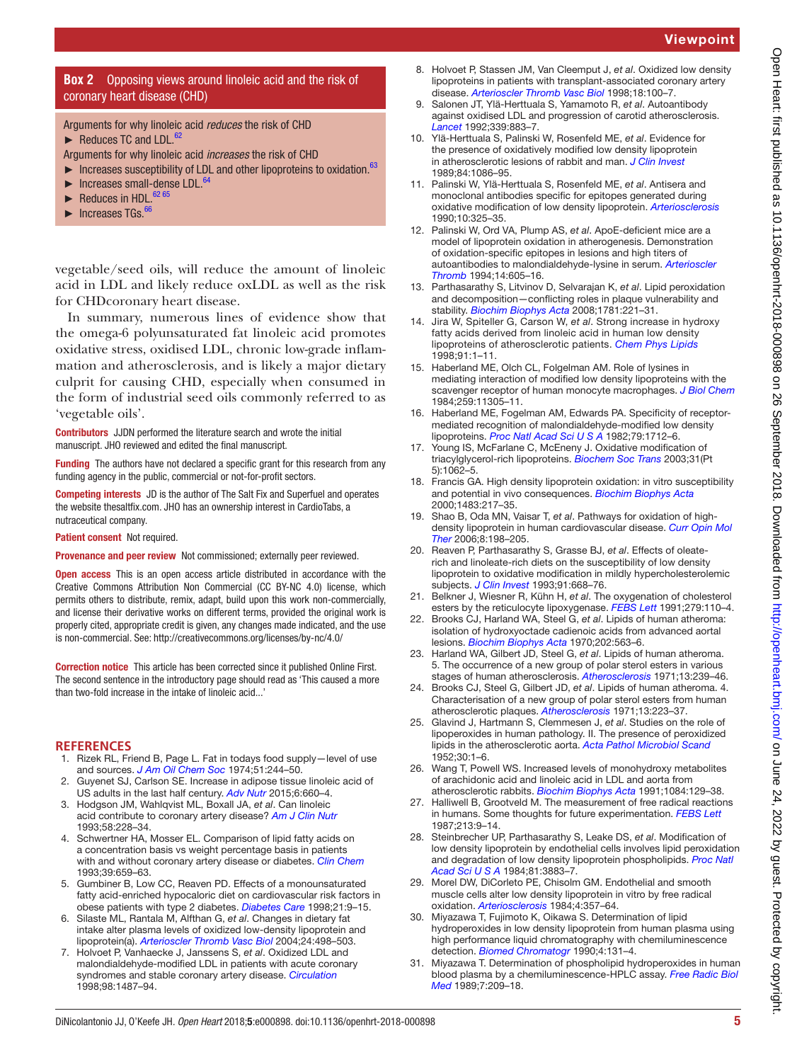## Viewpoint

#### **Box 2** Opposing views around linoleic acid and the risk of coronary heart disease (CHD)

<span id="page-4-21"></span>Arguments for why linoleic acid *reduces* the risk of CHD

- ► Reduces TC and LDL.<sup>62</sup>
- Arguments for why linoleic acid *increases* the risk of CHD
- $\blacktriangleright$  Increases susceptibility of LDL and other lipoproteins to oxidation.<sup>[63](#page-5-27)</sup>
- ► Increases small-dense LDL.[64](#page-5-28)
- $\blacktriangleright$  Reduces in HDL.<sup>62 65</sup>
- Increases TGs.<sup>[66](#page-5-29)</sup>

vegetable/seed oils, will reduce the amount of linoleic acid in LDL and likely reduce oxLDL as well as the risk for CHDcoronary heart disease.

In summary, numerous lines of evidence show that the omega-6 polyunsaturated fat linoleic acid promotes oxidative stress, oxidised LDL, chronic low-grade inflammation and atherosclerosis, and is likely a major dietary culprit for causing CHD, especially when consumed in the form of industrial seed oils commonly referred to as 'vegetable oils'.

Contributors JJDN performed the literature search and wrote the initial manuscript. JHO reviewed and edited the final manuscript.

Funding The authors have not declared a specific grant for this research from any funding agency in the public, commercial or not-for-profit sectors.

Competing interests JD is the author of The Salt Fix and Superfuel and operates the website thesaltfix.com. JHO has an ownership interest in CardioTabs, a nutraceutical company.

Patient consent Not required.

Provenance and peer review Not commissioned; externally peer reviewed.

**Open access** This is an open access article distributed in accordance with the Creative Commons Attribution Non Commercial (CC BY-NC 4.0) license, which permits others to distribute, remix, adapt, build upon this work non-commercially, and license their derivative works on different terms, provided the original work is properly cited, appropriate credit is given, any changes made indicated, and the use is non-commercial. See: <http://creativecommons.org/licenses/by-nc/4.0/>

Correction notice This article has been corrected since it published Online First. The second sentence in the introductory page should read as 'This caused a more than two-fold increase in the intake of linoleic acid...'

#### **References**

- <span id="page-4-0"></span>1. Rizek RL, Friend B, Page L. Fat in todays food supply—level of use and sources. *[J Am Oil Chem Soc](http://dx.doi.org/10.1007/BF02642629)* 1974;51:244–50.
- <span id="page-4-1"></span>2. Guyenet SJ, Carlson SE. Increase in adipose tissue linoleic acid of US adults in the last half century. *[Adv Nutr](http://dx.doi.org/10.3945/an.115.009944)* 2015;6:660–4.
- <span id="page-4-2"></span>3. Hodgson JM, Wahlqvist ML, Boxall JA, *et al*. Can linoleic acid contribute to coronary artery disease? *[Am J Clin Nutr](http://dx.doi.org/10.1093/ajcn/58.2.228)* 1993;58:228–34.
- <span id="page-4-3"></span>4. Schwertner HA, Mosser EL. Comparison of lipid fatty acids on a concentration basis vs weight percentage basis in patients with and without coronary artery disease or diabetes. *[Clin Chem](http://www.ncbi.nlm.nih.gov/pubmed/8472362)* 1993;39:659–63.
- <span id="page-4-4"></span>5. Gumbiner B, Low CC, Reaven PD. Effects of a monounsaturated fatty acid-enriched hypocaloric diet on cardiovascular risk factors in obese patients with type 2 diabetes. *[Diabetes Care](http://dx.doi.org/10.2337/diacare.21.1.9)* 1998;21:9–15.
- <span id="page-4-5"></span>6. Silaste ML, Rantala M, Alfthan G, *et al*. Changes in dietary fat intake alter plasma levels of oxidized low-density lipoprotein and lipoprotein(a). *[Arterioscler Thromb Vasc Biol](http://dx.doi.org/10.1161/01.ATV.0000118012.64932.f4)* 2004;24:498–503.
- <span id="page-4-6"></span>7. Holvoet P, Vanhaecke J, Janssens S, *et al*. Oxidized LDL and malondialdehyde-modified LDL in patients with acute coronary syndromes and stable coronary artery disease. *[Circulation](http://dx.doi.org/10.1161/01.CIR.98.15.1487)* 1998;98:1487–94.
- 8. Holvoet P, Stassen JM, Van Cleemput J, *et al*. Oxidized low density lipoproteins in patients with transplant-associated coronary artery disease. *[Arterioscler Thromb Vasc Biol](http://dx.doi.org/10.1161/01.ATV.18.1.100)* 1998;18:100–7.
- <span id="page-4-8"></span>9. Salonen JT, Ylä-Herttuala S, Yamamoto R, *et al*. Autoantibody against oxidised LDL and progression of carotid atherosclerosis. *[Lancet](http://dx.doi.org/10.1016/0140-6736(92)90926-T)* 1992;339:883–7.
- <span id="page-4-7"></span>10. Ylä-Herttuala S, Palinski W, Rosenfeld ME, *et al*. Evidence for the presence of oxidatively modified low density lipoprotein in atherosclerotic lesions of rabbit and man. *[J Clin Invest](http://dx.doi.org/10.1172/JCI114271)* 1989;84:1086–95.
- 11. Palinski W, Ylä-Herttuala S, Rosenfeld ME, *et al*. Antisera and monoclonal antibodies specific for epitopes generated during oxidative modification of low density lipoprotein. *[Arteriosclerosis](http://dx.doi.org/10.1161/01.ATV.10.3.325)* 1990;10:325–35.
- 12. Palinski W, Ord VA, Plump AS, *et al*. ApoE-deficient mice are a model of lipoprotein oxidation in atherogenesis. Demonstration of oxidation-specific epitopes in lesions and high titers of autoantibodies to malondialdehyde-lysine in serum. *[Arterioscler](http://dx.doi.org/10.1161/01.ATV.14.4.605)  [Thromb](http://dx.doi.org/10.1161/01.ATV.14.4.605)* 1994;14:605–16.
- <span id="page-4-9"></span>13. Parthasarathy S, Litvinov D, Selvarajan K, *et al*. Lipid peroxidation and decomposition—conflicting roles in plaque vulnerability and stability. *[Biochim Biophys Acta](http://dx.doi.org/10.1016/j.bbalip.2008.03.002)* 2008;1781:221–31.
- <span id="page-4-10"></span>14. Jira W, Spiteller G, Carson W, *et al*. Strong increase in hydroxy fatty acids derived from linoleic acid in human low density lipoproteins of atherosclerotic patients. *[Chem Phys Lipids](http://dx.doi.org/10.1016/S0009-3084(97)00095-9)* 1998;91:1–11.
- 15. Haberland ME, Olch CL, Folgelman AM. Role of lysines in mediating interaction of modified low density lipoproteins with the scavenger receptor of human monocyte macrophages. *[J Biol Chem](http://www.ncbi.nlm.nih.gov/pubmed/6088540)* 1984;259:11305–11.
- 16. Haberland ME, Fogelman AM, Edwards PA. Specificity of receptormediated recognition of malondialdehyde-modified low density lipoproteins. *[Proc Natl Acad Sci U S A](http://dx.doi.org/10.1073/pnas.79.6.1712)* 1982;79:1712–6.
- <span id="page-4-11"></span>17. Young IS, McFarlane C, McEneny J. Oxidative modification of triacylglycerol-rich lipoproteins. *[Biochem Soc Trans](http://dx.doi.org/10.1042/bst0311062)* 2003;31(Pt 5):1062–5.
- 18. Francis GA. High density lipoprotein oxidation: in vitro susceptibility and potential in vivo consequences. *[Biochim Biophys Acta](http://dx.doi.org/10.1016/S1388-1981(99)00181-X)* 2000;1483:217–35.
- 19. Shao B, Oda MN, Vaisar T, *et al*. Pathways for oxidation of highdensity lipoprotein in human cardiovascular disease. *[Curr Opin Mol](http://www.ncbi.nlm.nih.gov/pubmed/16774039)  [Ther](http://www.ncbi.nlm.nih.gov/pubmed/16774039)* 2006;8:198–205.
- <span id="page-4-12"></span>20. Reaven P, Parthasarathy S, Grasse BJ, *et al*. Effects of oleaterich and linoleate-rich diets on the susceptibility of low density lipoprotein to oxidative modification in mildly hypercholesterolemic subjects. *[J Clin Invest](http://dx.doi.org/10.1172/JCI116247)* 1993;91:668–76.
- <span id="page-4-13"></span>21. Belkner J, Wiesner R, Kühn H, *et al*. The oxygenation of cholesterol esters by the reticulocyte lipoxygenase. *[FEBS Lett](http://dx.doi.org/10.1016/0014-5793(91)80263-3)* 1991;279:110–4.
- <span id="page-4-15"></span>22. Brooks CJ, Harland WA, Steel G, *et al*. Lipids of human atheroma: isolation of hydroxyoctade cadienoic acids from advanced aortal lesions. *[Biochim Biophys Acta](http://dx.doi.org/10.1016/0005-2760(70)90131-1)* 1970;202:563–6.
- 23. Harland WA, Gilbert JD, Steel G, *et al*. Lipids of human atheroma. 5. The occurrence of a new group of polar sterol esters in various stages of human atherosclerosis. *[Atherosclerosis](http://dx.doi.org/10.1016/0021-9150(71)90026-8)* 1971;13:239–46.
- 24. Brooks CJ, Steel G, Gilbert JD, *et al*. Lipids of human atheroma. 4. Characterisation of a new group of polar sterol esters from human atherosclerotic plaques. *[Atherosclerosis](http://dx.doi.org/10.1016/0021-9150(71)90025-6)* 1971;13:223–37.
- <span id="page-4-14"></span>25. Glavind J, Hartmann S, Clemmesen J, *et al*. Studies on the role of lipoperoxides in human pathology. II. The presence of peroxidized lipids in the atherosclerotic aorta. *[Acta Pathol Microbiol Scand](http://www.ncbi.nlm.nih.gov/pubmed/14933036)* 1952;30:1–6.
- <span id="page-4-16"></span>26. Wang T, Powell WS. Increased levels of monohydroxy metabolites of arachidonic acid and linoleic acid in LDL and aorta from atherosclerotic rabbits. *[Biochim Biophys Acta](http://dx.doi.org/10.1016/0005-2760(91)90211-Y)* 1991;1084:129–38.
- <span id="page-4-17"></span>27. Halliwell B, Grootveld M. The measurement of free radical reactions in humans. Some thoughts for future experimentation. *[FEBS Lett](http://www.ncbi.nlm.nih.gov/pubmed/3030811)* 1987;213:9–14.
- <span id="page-4-18"></span>28. Steinbrecher UP, Parthasarathy S, Leake DS, *et al*. Modification of low density lipoprotein by endothelial cells involves lipid peroxidation and degradation of low density lipoprotein phospholipids. *[Proc Natl](http://dx.doi.org/10.1073/pnas.81.12.3883)  [Acad Sci U S A](http://dx.doi.org/10.1073/pnas.81.12.3883)* 1984;81:3883–7.
- 29. Morel DW, DiCorleto PE, Chisolm GM. Endothelial and smooth muscle cells alter low density lipoprotein in vitro by free radical oxidation. *[Arteriosclerosis](http://dx.doi.org/10.1161/01.ATV.4.4.357)* 1984;4:357–64.
- <span id="page-4-19"></span>30. Miyazawa T, Fujimoto K, Oikawa S. Determination of lipid hydroperoxides in low density lipoprotein from human plasma using high performance liquid chromatography with chemiluminescence detection. *[Biomed Chromatogr](http://dx.doi.org/10.1002/bmc.1130040312)* 1990;4:131–4.
- <span id="page-4-20"></span>31. Miyazawa T. Determination of phospholipid hydroperoxides in human blood plasma by a chemiluminescence-HPLC assay. *[Free Radic Biol](http://dx.doi.org/10.1016/0891-5849(89)90017-8)  [Med](http://dx.doi.org/10.1016/0891-5849(89)90017-8)* 1989;7:209–18.